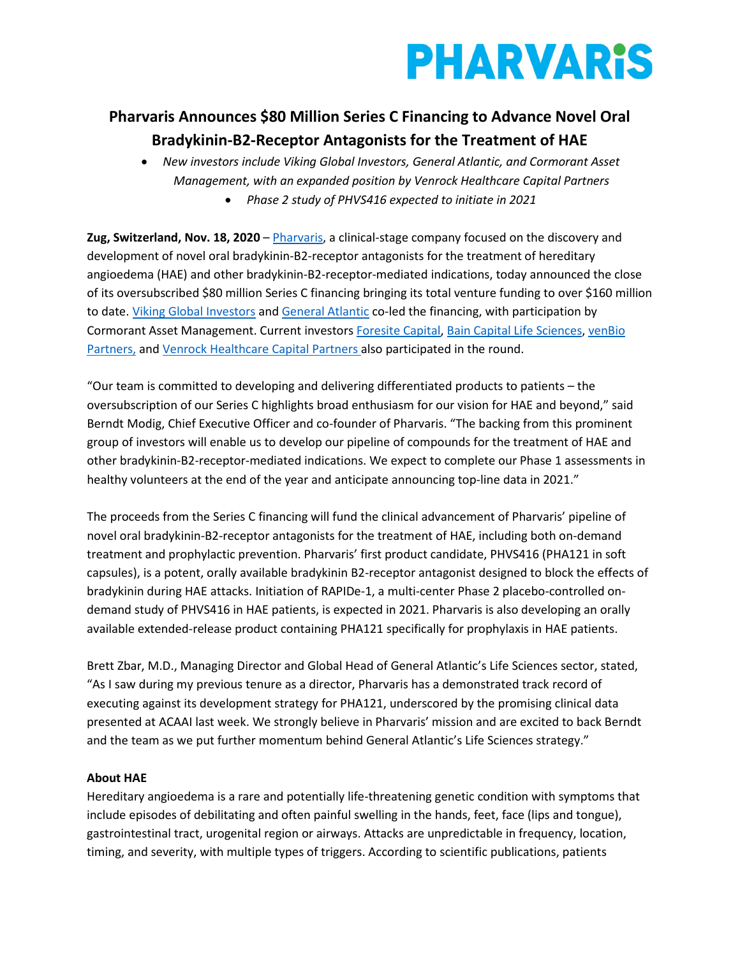

# **Pharvaris Announces \$80 Million Series C Financing to Advance Novel Oral Bradykinin-B2-Receptor Antagonists for the Treatment of HAE**

• *New investors include Viking Global Investors, General Atlantic, and Cormorant Asset Management, with an expanded position by Venrock Healthcare Capital Partners*

• *Phase 2 study of PHVS416 expected to initiate in 2021*

**Zug, Switzerland, Nov. 18, 2020** – [Pharvaris,](https://pharvaris.com/) a clinical-stage company focused on the discovery and development of novel oral bradykinin-B2-receptor antagonists for the treatment of hereditary angioedema (HAE) and other bradykinin-B2-receptor-mediated indications, today announced the close of its oversubscribed \$80 million Series C financing bringing its total venture funding to over \$160 million to date[. Viking Global Investors](https://www.vikingglobal.com/) and [General Atlantic](https://www.generalatlantic.com/) co-led the financing, with participation by Cormorant Asset Management. Current investors [Foresite Capital,](https://www.foresitecapital.com/) [Bain Capital Life Sciences,](https://www.baincapital.com/businesses/scaling-innovation-life-sciences) [venBio](http://www.venbio.com/index.html)  [Partners,](http://www.venbio.com/index.html) an[d Venrock Healthcare Capital Partners](https://www.venrockcp.com/) also participated in the round.

"Our team is committed to developing and delivering differentiated products to patients – the oversubscription of our Series C highlights broad enthusiasm for our vision for HAE and beyond," said Berndt Modig, Chief Executive Officer and co-founder of Pharvaris. "The backing from this prominent group of investors will enable us to develop our pipeline of compounds for the treatment of HAE and other bradykinin-B2-receptor-mediated indications. We expect to complete our Phase 1 assessments in healthy volunteers at the end of the year and anticipate announcing top-line data in 2021."

The proceeds from the Series C financing will fund the clinical advancement of Pharvaris' pipeline of novel oral bradykinin-B2-receptor antagonists for the treatment of HAE, including both on-demand treatment and prophylactic prevention. Pharvaris' first product candidate, PHVS416 (PHA121 in soft capsules), is a potent, orally available bradykinin B2-receptor antagonist designed to block the effects of bradykinin during HAE attacks. Initiation of RAPIDe-1, a multi-center Phase 2 placebo-controlled ondemand study of PHVS416 in HAE patients, is expected in 2021. Pharvaris is also developing an orally available extended-release product containing PHA121 specifically for prophylaxis in HAE patients.

Brett Zbar, M.D., Managing Director and Global Head of General Atlantic's Life Sciences sector, stated, "As I saw during my previous tenure as a director, Pharvaris has a demonstrated track record of executing against its development strategy for PHA121, underscored by the promising clinical data presented at ACAAI last week. We strongly believe in Pharvaris' mission and are excited to back Berndt and the team as we put further momentum behind General Atlantic's Life Sciences strategy."

#### **About HAE**

Hereditary angioedema is a rare and potentially life-threatening genetic condition with symptoms that include episodes of debilitating and often painful swelling in the hands, feet, face (lips and tongue), gastrointestinal tract, urogenital region or airways. Attacks are unpredictable in frequency, location, timing, and severity, with multiple types of triggers. According to scientific publications, patients